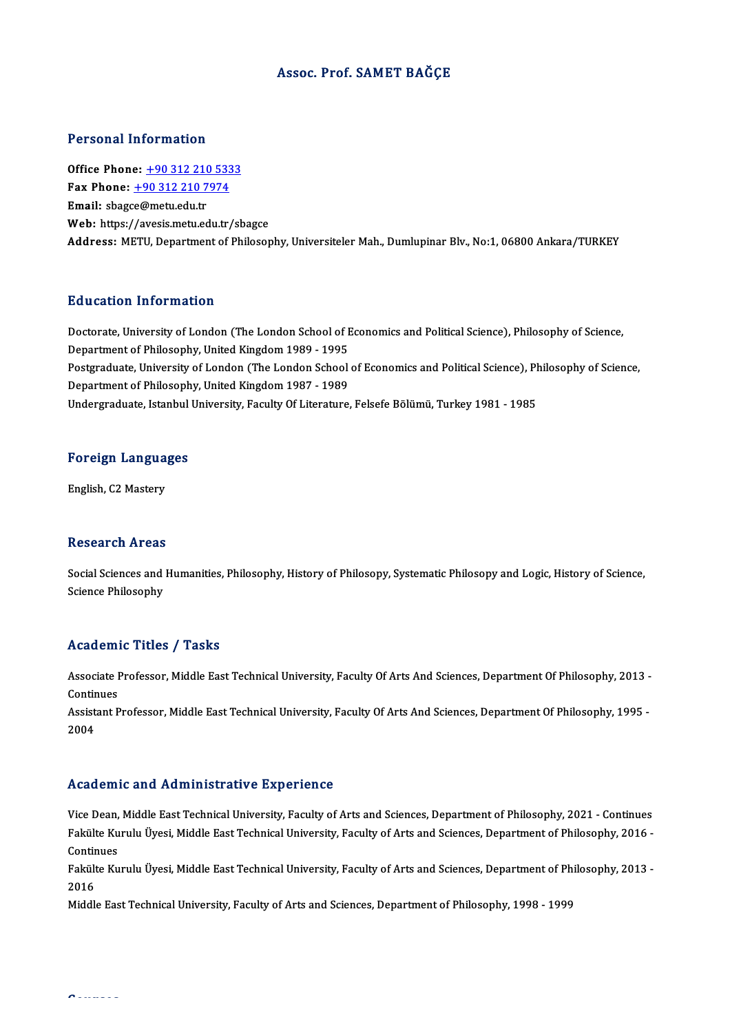## Assoc. Prof. SAMET BAĞÇE

## Personal Information

**Personal Information<br>Office Phone: +90 312 210 5333<br>Fax Phone: +90 312 210 7974** Fax Phone: <u>+90 312 210 533</u><br>Fax Phone: <u>+90 312 210 7974</u><br>Fmail: chasse@matu.edu.tr Office Phone: <u>+90 312 210 7</u><br>Fax Phone: <u>+90 312 210 7</u><br>Email: sbag[ce@metu.edu.tr](tel:+90 312 210 7974) Fax Phone:  $\pm$ 90 312 210 7974<br>Email: sbagce@metu.edu.tr<br>Web: https://avesis.metu.edu.tr/sbagce Address: METU, Department of Philosophy, Universiteler Mah., Dumlupinar Blv., No:1, 06800 Ankara/TURKEY

## Education Information

Education Information<br>Doctorate, University of London (The London School of Economics and Political Science), Philosophy of Science,<br>Dopartment of Philosophy, United Kingdom 1989, 1995 Detaction Thromation<br>Doctorate, University of London (The London School of E<br>Department of Philosophy, United Kingdom 1989 - 1995<br>Bostanaduate, University of London (The London School Doctorate, University of London (The London School of Economics and Political Science), Philosophy of Science,<br>Department of Philosophy, United Kingdom 1989 - 1995<br>Postgraduate, University of London (The London School of E Department of Philosophy, United Kingdom 1989 - 1995<br>Postgraduate, University of London (The London School<br>Department of Philosophy, United Kingdom 1987 - 1989<br>Undergraduate Jetanbul University, Faculty Of Literature Postgraduate, University of London (The London School of Economics and Political Science), Pl<br>Department of Philosophy, United Kingdom 1987 - 1989<br>Undergraduate, Istanbul University, Faculty Of Literature, Felsefe Bölümü,

## <sub>ondergraduate, istanbul</sub><br>Foreign Languages F<mark>oreign Langua</mark><br>English, C2 Mastery

English, C2 Mastery<br>Research Areas

Research Areas<br>Social Sciences and Humanities, Philosophy, History of Philosopy, Systematic Philosopy and Logic, History of Science,<br>Science Philosophy Science Sand<br>Science Philosophy<br>Science Philosophy

# Science Philosophy<br>Academic Titles / Tasks

Academic Titles / Tasks<br>Associate Professor, Middle East Technical University, Faculty Of Arts And Sciences, Department Of Philosophy, 2013 -<br>Continues Associate I<br>Continues<br>Assistant B Associate Professor, Middle East Technical University, Faculty Of Arts And Sciences, Department Of Philosophy, 2013 -<br>Continues<br>Assistant Professor, Middle East Technical University, Faculty Of Arts And Sciences, Departmen

Continues<br>Assistant Professor, Middle East Technical University, Faculty Of Arts And Sciences, Department Of Philosophy, 1995 -<br>2004

### Academic and Administrative Experience

Academic and Administrative Experience<br>Vice Dean, Middle East Technical University, Faculty of Arts and Sciences, Department of Philosophy, 2021 - Continues<br>Fakülta Kurulu Ünesi Middle Fast Technical University, Faculty of Frodd office and Tramminotrative Bip of force<br>Vice Dean, Middle East Technical University, Faculty of Arts and Sciences, Department of Philosophy, 2021 - Continues<br>Fakülte Kurulu Üyesi, Middle East Technical University, Fa Vice Dean,<br>Fakülte Ku<br>Continues<br>Fekülte Ku Fakülte Kurulu Üyesi, Middle East Technical University, Faculty of Arts and Sciences, Department of Philosophy, 2016 -<br>Continues<br>Fakülte Kurulu Üyesi, Middle East Technical University, Faculty of Arts and Sciences, Departm

Conti<mark>r</mark><br>Fakült<br>2016<br>Middl Fakülte Kurulu Üyesi, Middle East Technical University, Faculty of Arts and Sciences, Department of Phi<br>2016<br>Middle East Technical University, Faculty of Arts and Sciences, Department of Philosophy, 1998 - 1999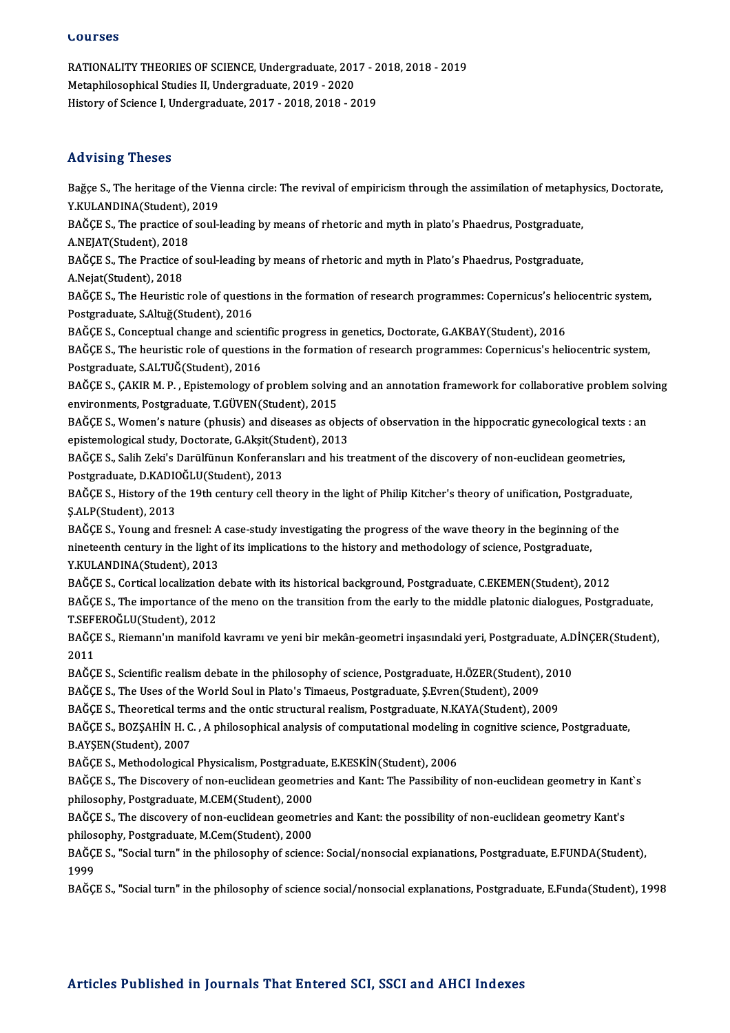### **Lourses**

LOUFSES<br>RATIONALITY THEORIES OF SCIENCE, Undergraduate, 2017 - 2018, 2018 - 2019<br>Metaphilosophical Studies II, Undergraduate, 2019, 2020 SOUTESS<br>RATIONALITY THEORIES OF SCIENCE, Undergraduate, 201<br>Metaphilosophical Studies II, Undergraduate, 2019 - 2020<br>History of Science L Undergraduate, 2017 - 2019 -2019 - 21 RATIONALITY THEORIES OF SCIENCE, Undergraduate, 2017 - 2<br>Metaphilosophical Studies II, Undergraduate, 2019 - 2020<br>History of Science I, Undergraduate, 2017 - 2018, 2018 - 2019 History of Science I, Undergraduate, 2017 - 2018, 2018 - 2019<br>Advising Theses

Advising Theses<br>Bağçe S., The heritage of the Vienna circle: The revival of empiricism through the assimilation of metaphysics, Doctorate,<br>Y.KULANDINA(Student), 2019 THE FISHING THESES<br>Bağçe S., The heritage of the Vie<br>Y.KULANDINA(Student), 2019<br>BAĞÇE S., The prestice of soul l Bağçe S., The heritage of the Vienna circle: The revival of empiricism through the assimilation of metaphy<br>Y.KULANDINA(Student), 2019<br>BAĞÇE S., The practice of soul-leading by means of rhetoric and myth in plato's Phaedrus

Y.KULANDINA(Student), 2019<br>BAĞÇE S., The practice of soul-leading by means of rhetoric and myth in plato's Phaedrus, Postgraduate,<br>A.NEJAT(Student), 2018

BAĞÇE S., The practice of soul-leading by means of rhetoric and myth in plato's Phaedrus, Postgraduate,<br>A.NEJAT(Student), 2018<br>BAĞÇE S., The Practice of soul-leading by means of rhetoric and myth in Plato's Phaedrus, Postg A.NEJAT(Student), 2018<br>BAĞÇE S., The Practice c<br>A.Nejat(Student), 2018<br>BAĞÇE S. The Houristic

BAĞÇE S., The Practice of soul-leading by means of rhetoric and myth in Plato's Phaedrus, Postgraduate,<br>A.Nejat(Student), 2018<br>BAĞÇE S., The Heuristic role of questions in the formation of research programmes: Copernicus's A.Nejat(Student), 2018<br>BAĞÇE S., The Heuristic role of questi<br>Postgraduate, S.Altuğ(Student), 2016 BAĞÇE S., The Heuristic role of questions in the formation of research programmes: Copernicus's hel<br>Postgraduate, S.Altuğ(Student), 2016<br>BAĞÇE S., Conceptual change and scientific progress in genetics, Doctorate, G.AKBAY(S

BAĞÇE S., Conceptual change and scientific progress in genetics, Doctorate, G.AKBAY(Student), 2016

BAĞÇE S., The heuristic role of questions in the formation of research programmes: Copernicus's heliocentric system,<br>Postgraduate, S.ALTUĞ(Student), 2016 BAĞÇE S., The heuristic role of questions in the formation of research programmes: Copernicus's heliocentric system,<br>Postgraduate, S.ALTUĞ(Student), 2016<br>BAĞÇE S., ÇAKIR M. P. , Epistemology of problem solving and an annot

Postgraduate, S.ALTUĞ(Student), 2016<br>BAĞÇE S., ÇAKIR M. P. , Epistemology of problem solvin<br>environments, Postgraduate, T.GÜVEN(Student), 2015<br>BAĞÇE S., Woman's nature (phusis) and diseases as ab BAĞÇE S., ÇAKIR M. P. , Epistemology of problem solving and an annotation framework for collaborative problem solv<br>environments, Postgraduate, T.GÜVEN(Student), 2015<br>BAĞÇE S., Women's nature (phusis) and diseases as object

environments, Postgraduate, T.GÜVEN(Student), 2015<br>BAĞÇE S., Women's nature (phusis) and diseases as objection<br>epistemological study, Doctorate, G.Akşit(Student), 2013<br>BAĞÇE S. Salih Zaki'a Darülfünun Konforonaları and biş BAĞÇE S., Women's nature (phusis) and diseases as objects of observation in the hippocratic gynecological texts<br>epistemological study, Doctorate, G.Akşit(Student), 2013<br>BAĞÇE S., Salih Zeki's Darülfünun Konferansları and h

epistemological study, Doctorate, G.Akşit(Student), 2013<br>BAĞÇE S., Salih Zeki's Darülfünun Konferansları and his treatment of the discovery of non-euclidean geometries,<br>Postgraduate, D.KADIOĞLU(Student), 2013 BAĞÇE S., Salih Zeki's Darülfünun Konferansları and his treatment of the discovery of non-euclidean geometries,<br>Postgraduate, D.KADIOĞLU(Student), 2013<br>BAĞÇE S., History of the 19th century cell theory in the light of Phil

Postgraduate, D.KADIO<br>BAĞÇE S., History of th<br>Ş.ALP(Student), 2013<br>BAĞÇE S. Young and f BAĞÇE S., History of the 19th century cell theory in the light of Philip Kitcher's theory of unification, Postgraduat<br>\$.ALP(Student), 2013<br>BAĞÇE S., Young and fresnel: A case-study investigating the progress of the wave th

\$.ALP(Student), 2013<br>BAĞÇE S., Young and fresnel: A case-study investigating the progress of the wave theory in the beginning of<br>nineteenth century in the light of its implications to the history and methodology of science BAĞÇE S., Young and fresnel: A<br>nineteenth century in the light<br>Y.KULANDINA(Student), 2013<br>BAĞÇE S. Certical localization c nineteenth century in the light of its implications to the history and methodology of science, Postgraduate,<br>Y.KULANDINA(Student), 2013<br>BAĞÇE S., Cortical localization debate with its historical background, Postgraduate, C

Y.KULANDINA(Student), 2013<br>BAĞÇE S., Cortical localization debate with its historical background, Postgraduate, C.EKEMEN(Student), 2012<br>BAĞÇE S., The importance of the meno on the transition from the early to the middle pl BAĞÇE S., Cortical localization<br>BAĞÇE S., The importance of the<br>T.SEFEROĞLU(Student), 2012<br>BAĞÇE S., Biamann'ın manifold BAĞÇE S., The importance of the meno on the transition from the early to the middle platonic dialogues, Postgraduate,<br>T.SEFEROĞLU(Student), 2012<br>BAĞÇE S., Riemann'ın manifold kavramı ve yeni bir mekân-geometri inşasındaki

T SEFI<br>BAĞÇI<br>2011<br>BAČCI BAĞÇE S., Riemann'ın manifold kavramı ve yeni bir mekân-geometri inşasındaki yeri, Postgraduate, A.D<br>2011<br>BAĞÇE S., Scientific realism debate in the philosophy of science, Postgraduate, H.ÖZER(Student), 2010<br>BAĞÇE S., Scie 2011<br>BAĞÇE S., Scientific realism debate in the philosophy of science, Postgraduate, H.ÖZER(Student),<br>BAĞÇE S., The Uses of the World Soul in Plato's Timaeus, Postgraduate, Ş.Evren(Student), 2009<br>BAĞÇE S., Theoraticel term

BAĞÇE S., Scientific realism debate in the philosophy of science, Postgraduate, H.ÖZER(Student), 201<br>BAĞÇE S., The Uses of the World Soul in Plato's Timaeus, Postgraduate, Ş.Evren(Student), 2009<br>BAĞÇE S., Theoretical terms

BAĞÇE S., The Uses of the World Soul in Plato's Timaeus, Postgraduate, Ş.Evren(Student), 2009<br>BAĞÇE S., Theoretical terms and the ontic structural realism, Postgraduate, N.KAYA(Student), 2009<br>BAĞÇE S., BOZŞAHİN H. C. , A p BAĞÇE S., Theoretical terms and the ontic structural realism, Postgraduate, N.KAYA(Student), 2009<br>BAĞÇE S., BOZŞAHİN H. C. , A philosophical analysis of computational modeling in cognitive science,<br>B.AYŞEN(Student), 2007<br>B BAĞÇE S., BOZŞAHİN H. C. , A philosophical analysis of computational modeling<br>B.AYŞEN(Student), 2007<br>BAĞÇE S., Methodological Physicalism, Postgraduate, E.KESKİN(Student), 2006<br>BAĞÇE S., The Disseyowy of non-qualidean geom

BAĞÇE S., The Discovery of non-euclidean geometries and Kant: The Passibility of non-euclidean geometry in Kant`s philosophy, Postgraduate, M.CEM(Student), 2000 BAĞÇE S., The Discovery of non-euclidean geometries and Kant: The Passibility of non-euclidean geometry in Kan<br>philosophy, Postgraduate, M.CEM(Student), 2000<br>BAĞÇE S., The discovery of non-euclidean geometries and Kant: th

philosophy, Postgraduate, M.CEM(Student), 2000<br>BAĞÇE S., The discovery of non-euclidean geomet<br>philosophy, Postgraduate, M.Cem(Student), 2000<br>BAĞÇE S. "Social turn" in the philosophy of scienc BAĞÇE S., The discovery of non-euclidean geometries and Kant: the possibility of non-euclidean geometry Kant's<br>philosophy, Postgraduate, M.Cem(Student), 2000<br>BAĞÇE S., "Social turn" in the philosophy of science: Social/non

philosophy, Postgraduate, M.Cem(Student), 2000<br>BAĞÇE S., "Social turn" in the philosophy of science: Social/nonsocial expianations, Postgraduate, E.FUNDA(Student),<br>1999

BAĞÇE S., "Social turn" in the philosophy of science social/nonsocial explanations, Postgraduate, E.Funda(Student), 1998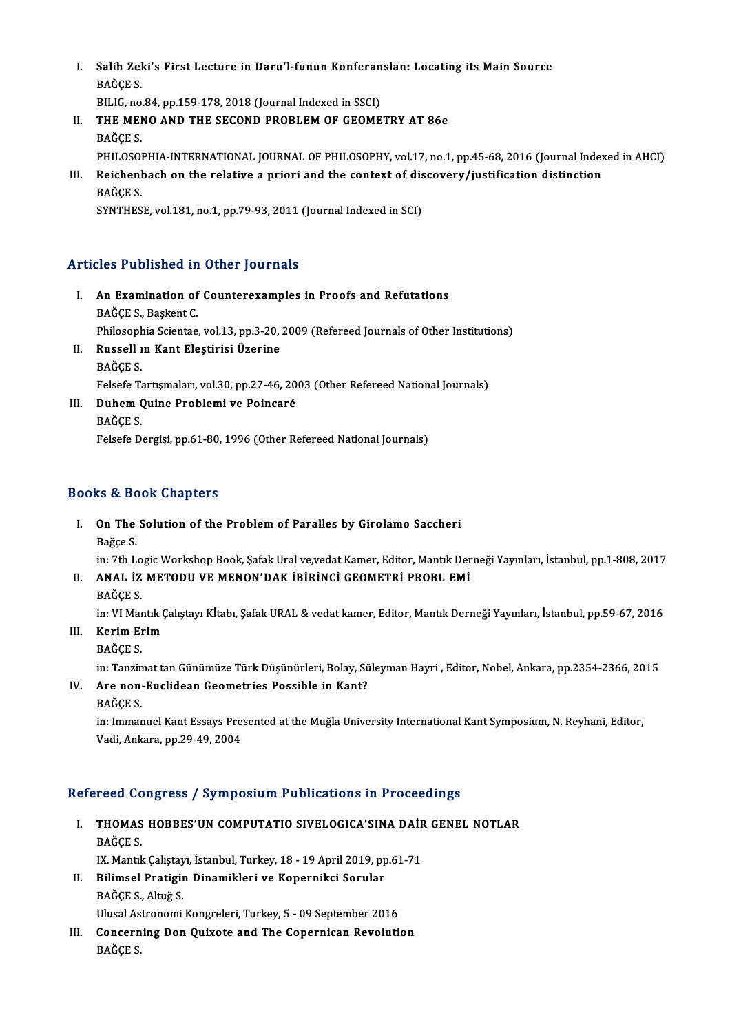- I. Salih Zeki's First Lecture in Daru'l-funun Konferanslan: Locating its Main Source<br>RAČCES Salih Zel<br>BAĞÇE S.<br>PU IC PA Salih Zeki's First Lecture in Daru'l-funun Konferan<br>BAĞÇE S.<br>BILIG, no.84, pp.159-178, 2018 (Journal Indexed in SSCI)<br>THE MENO AND THE SECOND PROBLEM OF CEOME BILIG, no.84, pp.159-178, 2018 (Journal Indexed in SSCI)
- BAĞÇE S.<br>BILIG, no.84, pp.159-178, 2018 (Journal Indexed in SSCI)<br>II. THE MENO AND THE SECOND PROBLEM OF GEOMETRY AT 86e<br>BAĞÇE S. THE MENO AND THE SECOND PROBLEM OF GEOMETRY AT 86e<br>BAĞÇE S.<br>PHILOSOPHIA-INTERNATIONAL JOURNAL OF PHILOSOPHY, vol.17, no.1, pp.45-68, 2016 (Journal Indexed in AHCI)<br>Bajshanhash an the relative a priori and the sentext of di BAĞÇE S.<br>PHILOSOPHIA-INTERNATIONAL JOURNAL OF PHILOSOPHY, vol.17, no.1, pp.45-68, 2016 (Journal Index<br>III. Reichenbach on the relative a priori and the context of discovery/justification distinction<br>PAČCE S
- PHILOSOI<br>Reichenl<br>BAĞÇE S.<br>SYNTHES III. Reichenbach on the relative a priori and the context of discovery/justification distinction<br>BAĞÇE S.<br>SYNTHESE, vol.181, no.1, pp.79-93, 2011 (Journal Indexed in SCI)

## Articles Published in Other Journals

- rticles Published in Other Journals<br>I. An Examination of Counterexamples in Proofs and Refutations An Examination of<br>BAĞÇE S., Başkent C.<br>Bhilosophia Scientes. An Examination of Counterexamples in Proofs and Refutations<br>BAĞÇE S., Başkent C.<br>Philosophia Scientae, vol.13, pp.3-20, 2009 (Refereed Journals of Other Institutions)<br>Puscell ın Kant Electinisi Ügenine BAĞÇE S., Başkent C.<br>Philosophia Scientae, vol.13, pp.3-20,<br>II. Russell ın Kant Eleştirisi Üzerine<br>BAĞÇE S.
- Philosoph<br>Russell<br>BAĞÇE S.<br>Feleefe Te Felsefe Tartışmaları, vol.30, pp.27-46, 2003 (Other Refereed National Journals) BAĞÇE S.<br>Felsefe Tartışmaları, vol.30, pp.27-46, 20<br>III. Duhem Quine Problemi ve Poincaré<br>PAČCE S
- Felsefe Ta<br>Duhem (<br>BAĞÇE S.<br>Felsefe D.

BAĞÇE S.<br>Felsefe Dergisi, pp.61-80, 1996 (Other Refereed National Journals)

## Books&Book Chapters

ooks & Book Chapters<br>I. On The Solution of the Problem of Paralles by Girolamo Saccheri<br>Rožse S nd a Beau<br>On The<br>Bağçe S.

On The Solution of the Problem of Paralles by Girolamo Saccheri<br>Bağçe S.<br>in: 7th Logic Workshop Book, Şafak Ural ve,vedat Kamer, Editor, Mantık Derneği Yayınları, İstanbul, pp.1-808, 2017<br>ANAL İZ METODU VE MENON'DAK İRİRİN Bağçe S.<br>in: 7th Logic Workshop Book, Şafak Ural ve,vedat Kamer, Editor, Mantık Der<br>II. ANAL İZ METODU VE MENON'DAK İBİRİNCİ GEOMETRİ PROBL EMİ<br>BAĞCE S. in: 7th Lo<br>**ANAL İZ**<br>BAĞÇE S.<br>in: VI Mer

ANAL İZ METODU VE MENON'DAK İBİRİNCİ GEOMETRİ PROBL EMİ<br>BAĞÇE S.<br>in: VI Mantık Çalıştayı Kİtabı, Şafak URAL & vedat kamer, Editor, Mantık Derneği Yayınları, İstanbul, pp.59-67, 2016<br>Karim Erim

- III. Kerim Erim<br>BAĞÇE S. in: VI Mar<br><mark>Kerim El</mark><br>BAĞÇE S.<br>in: Tangin
	-

in: Tanzimat tan Günümüze Türk Düşünürleri, Bolay, Süleyman Hayri , Editor, Nobel, Ankara, pp.2354-2366, 2015

IV. Are non-Euclidean Geometries Possible in Kant? BAĞÇES.

in: Immanuel Kant Essays Presented at the Muğla University International Kant Symposium, N. Reyhani, Editor, Vadi,Ankara,pp.29-49,2004

## Refereed Congress / Symposium Publications in Proceedings

- efereed Congress / Symposium Publications in Proceedings<br>I. THOMAS HOBBES'UN COMPUTATIO SIVELOGICA'SINA DAİR GENEL NOTLAR TUCA CONTRA<br>BAĞÇE S.<br>IV. Mantl THOMAS HOBBES'UN COMPUTATIO SIVELOGICA'SINA DAİF<br>BAĞÇE S.<br>IX. Mantık Çalıştayı, İstanbul, Turkey, 18 - 19 April 2019, pp.61-71<br>Bilimaal Bratisin Dinamiklari ve Kananniksi Samlar BAĞÇE S.<br>IX. Mantık Çalıştayı, İstanbul, Turkey, 18 - 19 April 2019, pp<br>II. Bilimsel Pratigin Dinamikleri ve Kopernikci Sorular<br>PAĞÇE S. Altığ S
- IX. Mantık Çalıştay<br>Bilimsel Pratigin<br>BAĞÇE S., Altuğ S.<br>Ulusel Astronomi Bilimsel Pratigin Dinamikleri ve Kopernikci Sorular<br>BAĞÇE S., Altuğ S.<br>Ulusal Astronomi Kongreleri, Turkey, 5 - 09 September 2016<br>Congerning Don Ouivote and The Congruisen Boyeluti BAĞÇE S., Altuğ S.<br>Ulusal Astronomi Kongreleri, Turkey, 5 - 09 September 2016<br>III. Concerning Don Quixote and The Copernican Revolution
- Ulusal As<br><mark>Concern</mark><br>BAĞÇE S.